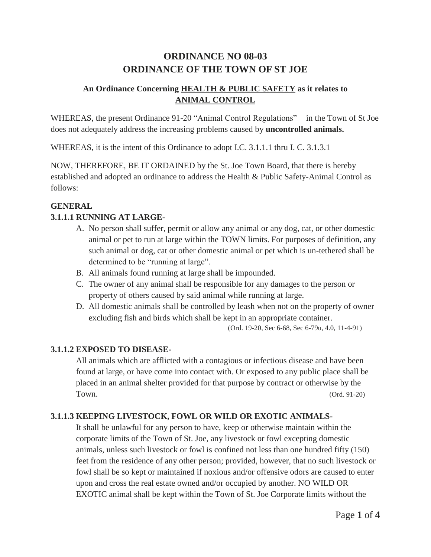# **ORDINANCE NO 08-03 ORDINANCE OF THE TOWN OF ST JOE**

# **An Ordinance Concerning HEALTH & PUBLIC SAFETY as it relates to ANIMAL CONTROL**

WHEREAS, the present Ordinance 91-20 "Animal Control Regulations" in the Town of St Joe does not adequately address the increasing problems caused by **uncontrolled animals.**

WHEREAS, it is the intent of this Ordinance to adopt I.C. 3.1.1.1 thru I. C. 3.1.3.1

NOW, THEREFORE, BE IT ORDAINED by the St. Joe Town Board, that there is hereby established and adopted an ordinance to address the Health & Public Safety-Animal Control as follows:

# **GENERAL**

# **3.1.1.1 RUNNING AT LARGE-**

- A. No person shall suffer, permit or allow any animal or any dog, cat, or other domestic animal or pet to run at large within the TOWN limits. For purposes of definition, any such animal or dog, cat or other domestic animal or pet which is un-tethered shall be determined to be "running at large".
- B. All animals found running at large shall be impounded.
- C. The owner of any animal shall be responsible for any damages to the person or property of others caused by said animal while running at large.
- D. All domestic animals shall be controlled by leash when not on the property of owner excluding fish and birds which shall be kept in an appropriate container.

(Ord. 19-20, Sec 6-68, Sec 6-79u, 4.0, 11-4-91)

### **3.1.1.2 EXPOSED TO DISEASE-**

All animals which are afflicted with a contagious or infectious disease and have been found at large, or have come into contact with. Or exposed to any public place shall be placed in an animal shelter provided for that purpose by contract or otherwise by the Town. (Ord. 91-20)

### **3.1.1.3 KEEPING LIVESTOCK, FOWL OR WILD OR EXOTIC ANIMALS-**

It shall be unlawful for any person to have, keep or otherwise maintain within the corporate limits of the Town of St. Joe, any livestock or fowl excepting domestic animals, unless such livestock or fowl is confined not less than one hundred fifty (150) feet from the residence of any other person; provided, however, that no such livestock or fowl shall be so kept or maintained if noxious and/or offensive odors are caused to enter upon and cross the real estate owned and/or occupied by another. NO WILD OR EXOTIC animal shall be kept within the Town of St. Joe Corporate limits without the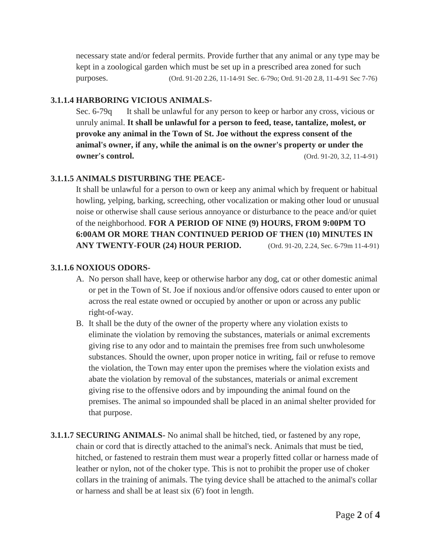necessary state and/or federal permits. Provide further that any animal or any type may be kept in a zoological garden which must be set up in a prescribed area zoned for such purposes. (Ord. 91-20 2.26, 11-14-91 Sec. 6-79o; Ord. 91-20 2.8, 11-4-91 Sec 7-76)

#### **3.1.1.4 HARBORING VICIOUS ANIMALS-**

Sec. 6-79q It shall be unlawful for any person to keep or harbor any cross, vicious or unruly animal. **It shall be unlawful for a person to feed, tease, tantalize, molest, or provoke any animal in the Town of St. Joe without the express consent of the animal's owner, if any, while the animal is on the owner's property or under the owner's control.** (Ord. 91-20, 3.2, 11-4-91)

#### **3.1.1.5 ANIMALS DISTURBING THE PEACE-**

It shall be unlawful for a person to own or keep any animal which by frequent or habitual howling, yelping, barking, screeching, other vocalization or making other loud or unusual noise or otherwise shall cause serious annoyance or disturbance to the peace and/or quiet of the neighborhood. **FOR A PERIOD OF NINE (9) HOURS, FROM 9:00PM TO 6:00AM OR MORE THAN CONTINUED PERIOD OF THEN (10) MINUTES IN ANY TWENTY-FOUR (24) HOUR PERIOD.** (Ord. 91-20, 2.24, Sec. 6-79m 11-4-91)

#### **3.1.1.6 NOXIOUS ODORS-**

- A. No person shall have, keep or otherwise harbor any dog, cat or other domestic animal or pet in the Town of St. Joe if noxious and/or offensive odors caused to enter upon or across the real estate owned or occupied by another or upon or across any public right-of-way.
- B. It shall be the duty of the owner of the property where any violation exists to eliminate the violation by removing the substances, materials or animal excrements giving rise to any odor and to maintain the premises free from such unwholesome substances. Should the owner, upon proper notice in writing, fail or refuse to remove the violation, the Town may enter upon the premises where the violation exists and abate the violation by removal of the substances, materials or animal excrement giving rise to the offensive odors and by impounding the animal found on the premises. The animal so impounded shall be placed in an animal shelter provided for that purpose.
- **3.1.1.7 SECURING ANIMALS-** No animal shall be hitched, tied, or fastened by any rope, chain or cord that is directly attached to the animal's neck. Animals that must be tied, hitched, or fastened to restrain them must wear a properly fitted collar or harness made of leather or nylon, not of the choker type. This is not to prohibit the proper use of choker collars in the training of animals. The tying device shall be attached to the animal's collar or harness and shall be at least six (6') foot in length.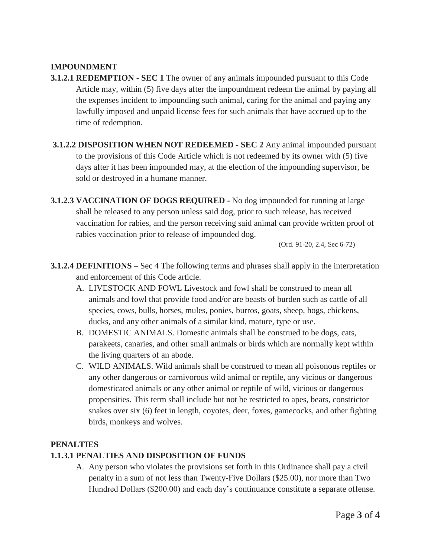#### **IMPOUNDMENT**

- **3.1.2.1 REDEMPTION - SEC 1** The owner of any animals impounded pursuant to this Code Article may, within (5) five days after the impoundment redeem the animal by paying all the expenses incident to impounding such animal, caring for the animal and paying any lawfully imposed and unpaid license fees for such animals that have accrued up to the time of redemption.
- **3.1.2.2 DISPOSITION WHEN NOT REDEEMED - SEC 2** Any animal impounded pursuant to the provisions of this Code Article which is not redeemed by its owner with (5) five days after it has been impounded may, at the election of the impounding supervisor, be sold or destroyed in a humane manner.
- **3.1.2.3 VACCINATION OF DOGS REQUIRED -** No dog impounded for running at large shall be released to any person unless said dog, prior to such release, has received vaccination for rabies, and the person receiving said animal can provide written proof of rabies vaccination prior to release of impounded dog.

(Ord. 91-20, 2.4, Sec 6-72)

- **3.1.2.4 DEFINITIONS** Sec 4 The following terms and phrases shall apply in the interpretation and enforcement of this Code article.
	- A. LIVESTOCK AND FOWL Livestock and fowl shall be construed to mean all animals and fowl that provide food and/or are beasts of burden such as cattle of all species, cows, bulls, horses, mules, ponies, burros, goats, sheep, hogs, chickens, ducks, and any other animals of a similar kind, mature, type or use.
	- B. DOMESTIC ANIMALS. Domestic animals shall be construed to be dogs, cats, parakeets, canaries, and other small animals or birds which are normally kept within the living quarters of an abode.
	- C. WILD ANIMALS. Wild animals shall be construed to mean all poisonous reptiles or any other dangerous or carnivorous wild animal or reptile, any vicious or dangerous domesticated animals or any other animal or reptile of wild, vicious or dangerous propensities. This term shall include but not be restricted to apes, bears, constrictor snakes over six (6) feet in length, coyotes, deer, foxes, gamecocks, and other fighting birds, monkeys and wolves.

#### **PENALTIES**

### **1.1.3.1 PENALTIES AND DISPOSITION OF FUNDS**

A. Any person who violates the provisions set forth in this Ordinance shall pay a civil penalty in a sum of not less than Twenty-Five Dollars (\$25.00), nor more than Two Hundred Dollars (\$200.00) and each day's continuance constitute a separate offense.